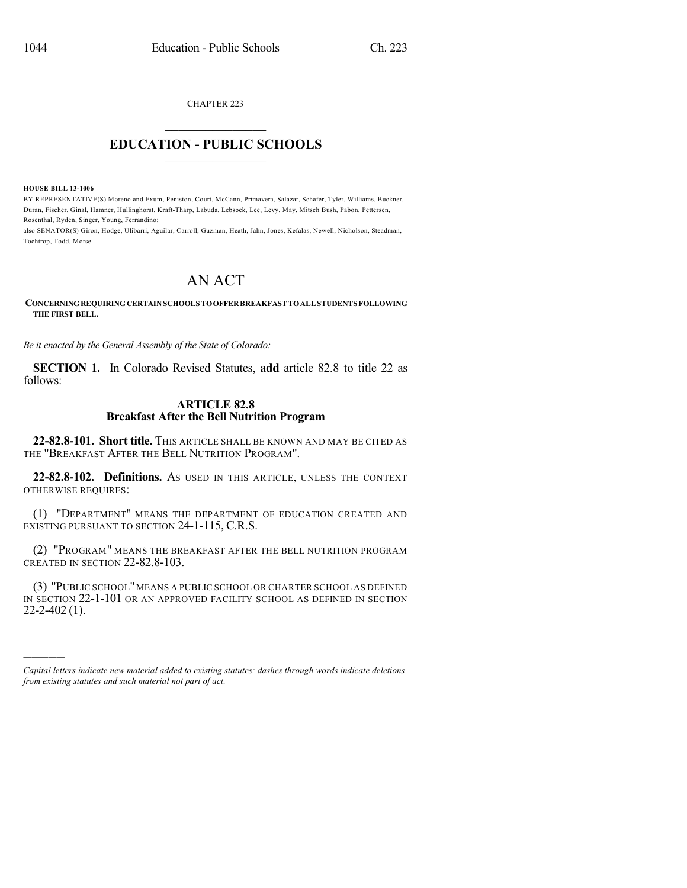CHAPTER 223  $\mathcal{L}_\text{max}$  . The set of the set of the set of the set of the set of the set of the set of the set of the set of the set of the set of the set of the set of the set of the set of the set of the set of the set of the set

## **EDUCATION - PUBLIC SCHOOLS**  $\_$   $\_$   $\_$   $\_$   $\_$   $\_$   $\_$   $\_$   $\_$

**HOUSE BILL 13-1006**

)))))

BY REPRESENTATIVE(S) Moreno and Exum, Peniston, Court, McCann, Primavera, Salazar, Schafer, Tyler, Williams, Buckner, Duran, Fischer, Ginal, Hamner, Hullinghorst, Kraft-Tharp, Labuda, Lebsock, Lee, Levy, May, Mitsch Bush, Pabon, Pettersen, Rosenthal, Ryden, Singer, Young, Ferrandino;

also SENATOR(S) Giron, Hodge, Ulibarri, Aguilar, Carroll, Guzman, Heath, Jahn, Jones, Kefalas, Newell, Nicholson, Steadman, Tochtrop, Todd, Morse.

## AN ACT

## **CONCERNINGREQUIRINGCERTAINSCHOOLSTOOFFERBREAKFASTTOALLSTUDENTSFOLLOWING THE FIRST BELL.**

*Be it enacted by the General Assembly of the State of Colorado:*

**SECTION 1.** In Colorado Revised Statutes, **add** article 82.8 to title 22 as follows:

## **ARTICLE 82.8 Breakfast After the Bell Nutrition Program**

**22-82.8-101. Short title.** THIS ARTICLE SHALL BE KNOWN AND MAY BE CITED AS THE "BREAKFAST AFTER THE BELL NUTRITION PROGRAM".

**22-82.8-102. Definitions.** AS USED IN THIS ARTICLE, UNLESS THE CONTEXT OTHERWISE REQUIRES:

(1) "DEPARTMENT" MEANS THE DEPARTMENT OF EDUCATION CREATED AND EXISTING PURSUANT TO SECTION 24-1-115, C.R.S.

(2) "PROGRAM" MEANS THE BREAKFAST AFTER THE BELL NUTRITION PROGRAM CREATED IN SECTION 22-82.8-103.

(3) "PUBLIC SCHOOL"MEANS A PUBLIC SCHOOL OR CHARTER SCHOOL AS DEFINED IN SECTION 22-1-101 OR AN APPROVED FACILITY SCHOOL AS DEFINED IN SECTION 22-2-402 (1).

*Capital letters indicate new material added to existing statutes; dashes through words indicate deletions from existing statutes and such material not part of act.*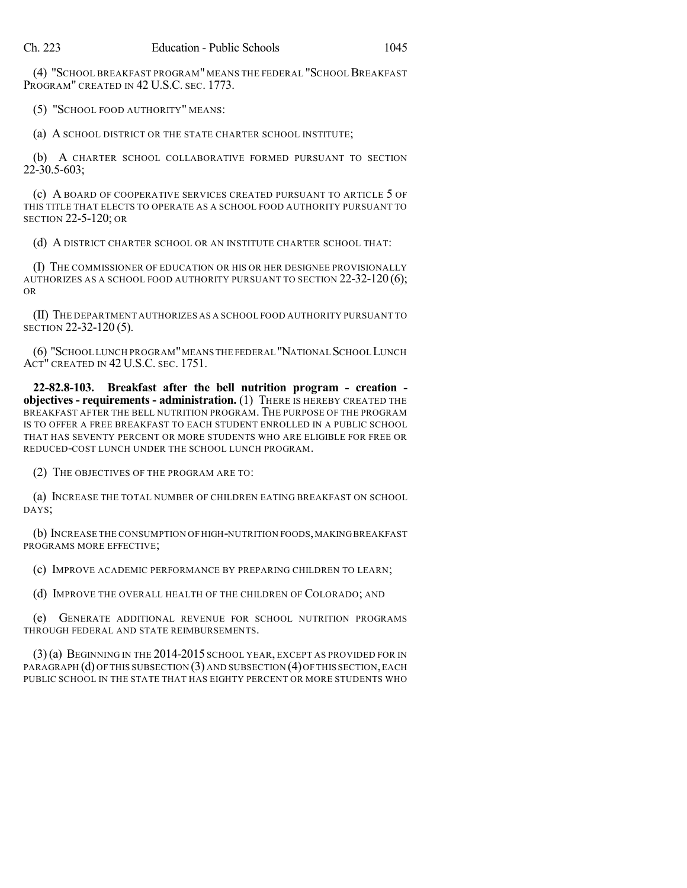(4) "SCHOOL BREAKFAST PROGRAM" MEANS THE FEDERAL "SCHOOL BREAKFAST PROGRAM" CREATED IN 42 U.S.C. SEC. 1773.

(5) "SCHOOL FOOD AUTHORITY" MEANS:

(a) A SCHOOL DISTRICT OR THE STATE CHARTER SCHOOL INSTITUTE;

(b) A CHARTER SCHOOL COLLABORATIVE FORMED PURSUANT TO SECTION 22-30.5-603;

(c) A BOARD OF COOPERATIVE SERVICES CREATED PURSUANT TO ARTICLE 5 OF THIS TITLE THAT ELECTS TO OPERATE AS A SCHOOL FOOD AUTHORITY PURSUANT TO SECTION 22-5-120; OR

(d) A DISTRICT CHARTER SCHOOL OR AN INSTITUTE CHARTER SCHOOL THAT:

(I) THE COMMISSIONER OF EDUCATION OR HIS OR HER DESIGNEE PROVISIONALLY AUTHORIZES AS A SCHOOL FOOD AUTHORITY PURSUANT TO SECTION 22-32-120 (6); OR

(II) THE DEPARTMENT AUTHORIZES AS A SCHOOL FOOD AUTHORITY PURSUANT TO SECTION 22-32-120 (5).

(6) "SCHOOL LUNCH PROGRAM"MEANS THE FEDERAL "NATIONAL SCHOOL LUNCH ACT" CREATED IN 42 U.S.C. SEC. 1751.

**22-82.8-103. Breakfast after the bell nutrition program - creation objectives - requirements - administration.** (1) THERE IS HEREBY CREATED THE BREAKFAST AFTER THE BELL NUTRITION PROGRAM. THE PURPOSE OF THE PROGRAM IS TO OFFER A FREE BREAKFAST TO EACH STUDENT ENROLLED IN A PUBLIC SCHOOL THAT HAS SEVENTY PERCENT OR MORE STUDENTS WHO ARE ELIGIBLE FOR FREE OR REDUCED-COST LUNCH UNDER THE SCHOOL LUNCH PROGRAM.

(2) THE OBJECTIVES OF THE PROGRAM ARE TO:

(a) INCREASE THE TOTAL NUMBER OF CHILDREN EATING BREAKFAST ON SCHOOL DAYS;

(b) INCREASE THE CONSUMPTION OF HIGH-NUTRITION FOODS,MAKINGBREAKFAST PROGRAMS MORE EFFECTIVE;

(c) IMPROVE ACADEMIC PERFORMANCE BY PREPARING CHILDREN TO LEARN;

(d) IMPROVE THE OVERALL HEALTH OF THE CHILDREN OF COLORADO; AND

(e) GENERATE ADDITIONAL REVENUE FOR SCHOOL NUTRITION PROGRAMS THROUGH FEDERAL AND STATE REIMBURSEMENTS.

(3)(a) BEGINNING IN THE 2014-2015 SCHOOL YEAR, EXCEPT AS PROVIDED FOR IN PARAGRAPH (d) OF THIS SUBSECTION (3) AND SUBSECTION (4) OF THIS SECTION, EACH PUBLIC SCHOOL IN THE STATE THAT HAS EIGHTY PERCENT OR MORE STUDENTS WHO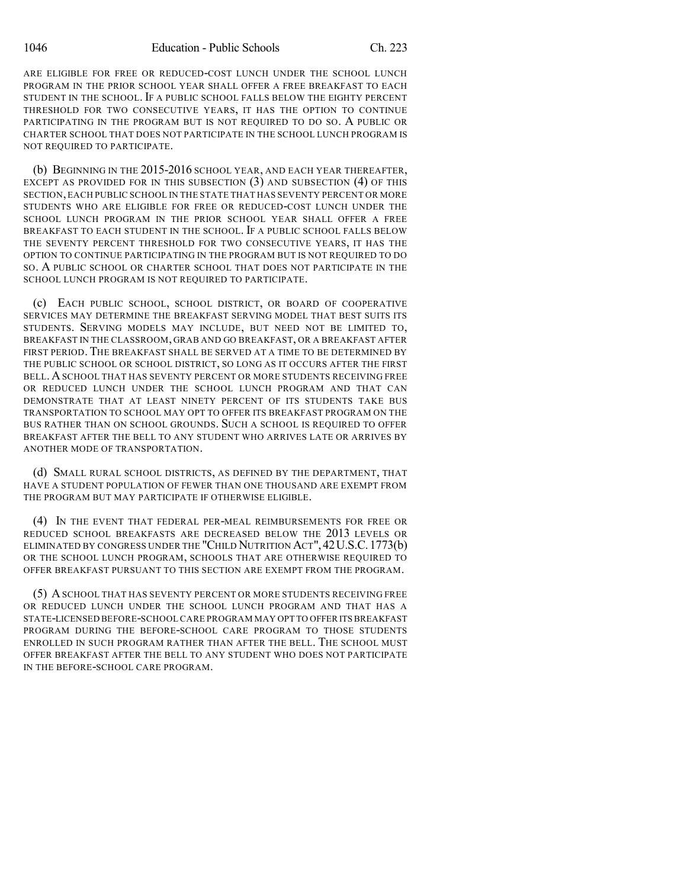ARE ELIGIBLE FOR FREE OR REDUCED-COST LUNCH UNDER THE SCHOOL LUNCH PROGRAM IN THE PRIOR SCHOOL YEAR SHALL OFFER A FREE BREAKFAST TO EACH STUDENT IN THE SCHOOL. IF A PUBLIC SCHOOL FALLS BELOW THE EIGHTY PERCENT THRESHOLD FOR TWO CONSECUTIVE YEARS, IT HAS THE OPTION TO CONTINUE PARTICIPATING IN THE PROGRAM BUT IS NOT REQUIRED TO DO SO. A PUBLIC OR CHARTER SCHOOL THAT DOES NOT PARTICIPATE IN THE SCHOOL LUNCH PROGRAM IS NOT REQUIRED TO PARTICIPATE.

(b) BEGINNING IN THE 2015-2016 SCHOOL YEAR, AND EACH YEAR THEREAFTER, EXCEPT AS PROVIDED FOR IN THIS SUBSECTION (3) AND SUBSECTION (4) OF THIS SECTION, EACH PUBLIC SCHOOL IN THE STATE THAT HAS SEVENTY PERCENT OR MORE STUDENTS WHO ARE ELIGIBLE FOR FREE OR REDUCED-COST LUNCH UNDER THE SCHOOL LUNCH PROGRAM IN THE PRIOR SCHOOL YEAR SHALL OFFER A FREE BREAKFAST TO EACH STUDENT IN THE SCHOOL. IF A PUBLIC SCHOOL FALLS BELOW THE SEVENTY PERCENT THRESHOLD FOR TWO CONSECUTIVE YEARS, IT HAS THE OPTION TO CONTINUE PARTICIPATING IN THE PROGRAM BUT IS NOT REQUIRED TO DO SO. A PUBLIC SCHOOL OR CHARTER SCHOOL THAT DOES NOT PARTICIPATE IN THE SCHOOL LUNCH PROGRAM IS NOT REQUIRED TO PARTICIPATE.

(c) EACH PUBLIC SCHOOL, SCHOOL DISTRICT, OR BOARD OF COOPERATIVE SERVICES MAY DETERMINE THE BREAKFAST SERVING MODEL THAT BEST SUITS ITS STUDENTS. SERVING MODELS MAY INCLUDE, BUT NEED NOT BE LIMITED TO, BREAKFAST IN THE CLASSROOM, GRAB AND GO BREAKFAST, OR A BREAKFAST AFTER FIRST PERIOD. THE BREAKFAST SHALL BE SERVED AT A TIME TO BE DETERMINED BY THE PUBLIC SCHOOL OR SCHOOL DISTRICT, SO LONG AS IT OCCURS AFTER THE FIRST BELL.ASCHOOL THAT HAS SEVENTY PERCENT OR MORE STUDENTS RECEIVING FREE OR REDUCED LUNCH UNDER THE SCHOOL LUNCH PROGRAM AND THAT CAN DEMONSTRATE THAT AT LEAST NINETY PERCENT OF ITS STUDENTS TAKE BUS TRANSPORTATION TO SCHOOL MAY OPT TO OFFER ITS BREAKFAST PROGRAM ON THE BUS RATHER THAN ON SCHOOL GROUNDS. SUCH A SCHOOL IS REQUIRED TO OFFER BREAKFAST AFTER THE BELL TO ANY STUDENT WHO ARRIVES LATE OR ARRIVES BY ANOTHER MODE OF TRANSPORTATION.

(d) SMALL RURAL SCHOOL DISTRICTS, AS DEFINED BY THE DEPARTMENT, THAT HAVE A STUDENT POPULATION OF FEWER THAN ONE THOUSAND ARE EXEMPT FROM THE PROGRAM BUT MAY PARTICIPATE IF OTHERWISE ELIGIBLE.

(4) IN THE EVENT THAT FEDERAL PER-MEAL REIMBURSEMENTS FOR FREE OR REDUCED SCHOOL BREAKFASTS ARE DECREASED BELOW THE 2013 LEVELS OR ELIMINATED BY CONGRESS UNDER THE "CHILD NUTRITION ACT",42U.S.C.1773(b) OR THE SCHOOL LUNCH PROGRAM, SCHOOLS THAT ARE OTHERWISE REQUIRED TO OFFER BREAKFAST PURSUANT TO THIS SECTION ARE EXEMPT FROM THE PROGRAM.

(5) ASCHOOL THAT HAS SEVENTY PERCENT OR MORE STUDENTS RECEIVING FREE OR REDUCED LUNCH UNDER THE SCHOOL LUNCH PROGRAM AND THAT HAS A STATE-LICENSED BEFORE-SCHOOL CARE PROGRAM MAY OPT TO OFFER ITS BREAKFAST PROGRAM DURING THE BEFORE-SCHOOL CARE PROGRAM TO THOSE STUDENTS ENROLLED IN SUCH PROGRAM RATHER THAN AFTER THE BELL. THE SCHOOL MUST OFFER BREAKFAST AFTER THE BELL TO ANY STUDENT WHO DOES NOT PARTICIPATE IN THE BEFORE-SCHOOL CARE PROGRAM.